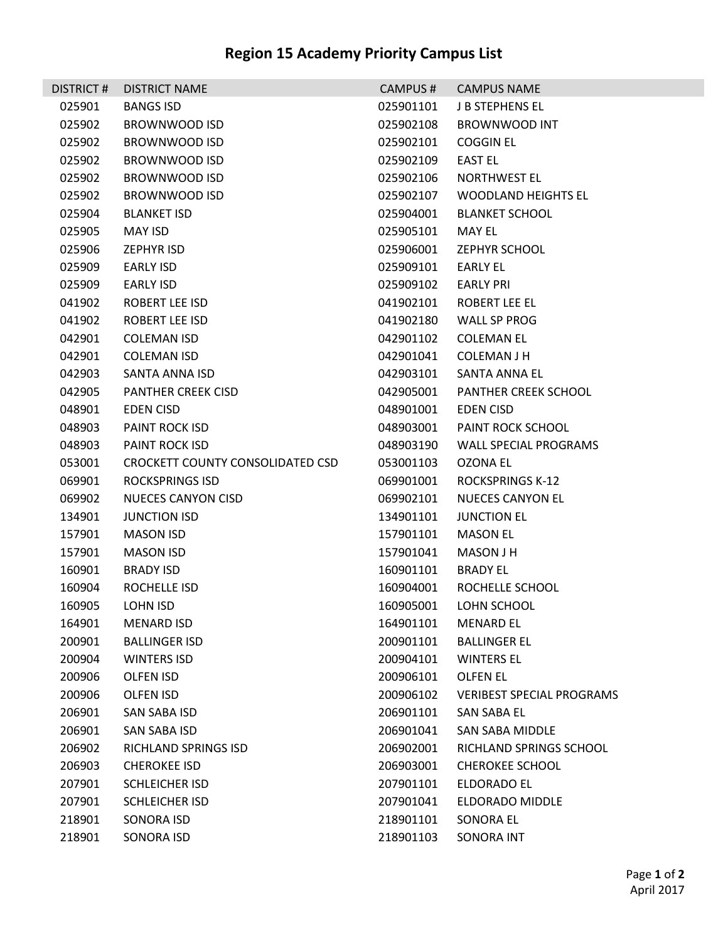## **Region 15 Academy Priority Campus List**

| <b>DISTRICT#</b> | <b>DISTRICT NAME</b>             | CAMPUS#   | <b>CAMPUS NAME</b>               |
|------------------|----------------------------------|-----------|----------------------------------|
| 025901           | <b>BANGS ISD</b>                 | 025901101 | <b>J B STEPHENS EL</b>           |
| 025902           | BROWNWOOD ISD                    | 025902108 | <b>BROWNWOOD INT</b>             |
| 025902           | <b>BROWNWOOD ISD</b>             | 025902101 | COGGIN EL                        |
| 025902           | <b>BROWNWOOD ISD</b>             | 025902109 | <b>EAST EL</b>                   |
| 025902           | <b>BROWNWOOD ISD</b>             | 025902106 | <b>NORTHWEST EL</b>              |
| 025902           | BROWNWOOD ISD                    | 025902107 | <b>WOODLAND HEIGHTS EL</b>       |
| 025904           | <b>BLANKET ISD</b>               | 025904001 | <b>BLANKET SCHOOL</b>            |
| 025905           | <b>MAY ISD</b>                   | 025905101 | MAY EL                           |
| 025906           | <b>ZEPHYR ISD</b>                | 025906001 | <b>ZEPHYR SCHOOL</b>             |
| 025909           | EARLY ISD                        | 025909101 | EARLY EL                         |
| 025909           | EARLY ISD                        | 025909102 | <b>EARLY PRI</b>                 |
| 041902           | ROBERT LEE ISD                   | 041902101 | ROBERT LEE EL                    |
| 041902           | <b>ROBERT LEE ISD</b>            | 041902180 | <b>WALL SP PROG</b>              |
| 042901           | <b>COLEMAN ISD</b>               | 042901102 | <b>COLEMAN EL</b>                |
| 042901           | <b>COLEMAN ISD</b>               | 042901041 | COLEMAN J H                      |
| 042903           | SANTA ANNA ISD                   | 042903101 | SANTA ANNA EL                    |
| 042905           | <b>PANTHER CREEK CISD</b>        | 042905001 | PANTHER CREEK SCHOOL             |
| 048901           | EDEN CISD                        | 048901001 | EDEN CISD                        |
| 048903           | PAINT ROCK ISD                   | 048903001 | PAINT ROCK SCHOOL                |
| 048903           | <b>PAINT ROCK ISD</b>            | 048903190 | WALL SPECIAL PROGRAMS            |
| 053001           | CROCKETT COUNTY CONSOLIDATED CSD | 053001103 | OZONA EL                         |
| 069901           | <b>ROCKSPRINGS ISD</b>           | 069901001 | <b>ROCKSPRINGS K-12</b>          |
| 069902           | <b>NUECES CANYON CISD</b>        | 069902101 | <b>NUECES CANYON EL</b>          |
| 134901           | <b>JUNCTION ISD</b>              | 134901101 | <b>JUNCTION EL</b>               |
| 157901           | <b>MASON ISD</b>                 | 157901101 | <b>MASON EL</b>                  |
| 157901           | <b>MASON ISD</b>                 | 157901041 | MASON J H                        |
| 160901           | <b>BRADY ISD</b>                 | 160901101 | <b>BRADY EL</b>                  |
| 160904           | ROCHELLE ISD                     | 160904001 | ROCHELLE SCHOOL                  |
| 160905           | LOHN ISD                         |           | 160905001 LOHN SCHOOL            |
| 164901           | MENARD ISD                       | 164901101 | <b>MENARD EL</b>                 |
| 200901           | <b>BALLINGER ISD</b>             | 200901101 | <b>BALLINGER EL</b>              |
| 200904           | <b>WINTERS ISD</b>               | 200904101 | <b>WINTERS EL</b>                |
| 200906           | <b>OLFEN ISD</b>                 | 200906101 | OLFEN EL                         |
| 200906           | OLFEN ISD                        | 200906102 | <b>VERIBEST SPECIAL PROGRAMS</b> |
| 206901           | SAN SABA ISD                     | 206901101 | SAN SABA EL                      |
| 206901           | SAN SABA ISD                     | 206901041 | SAN SABA MIDDLE                  |
| 206902           | RICHLAND SPRINGS ISD             | 206902001 | RICHLAND SPRINGS SCHOOL          |
| 206903           | <b>CHEROKEE ISD</b>              | 206903001 | <b>CHEROKEE SCHOOL</b>           |
| 207901           | <b>SCHLEICHER ISD</b>            | 207901101 | ELDORADO EL                      |
| 207901           | <b>SCHLEICHER ISD</b>            | 207901041 | ELDORADO MIDDLE                  |
| 218901           | SONORA ISD                       | 218901101 | SONORA EL                        |
| 218901           | SONORA ISD                       | 218901103 | <b>SONORA INT</b>                |